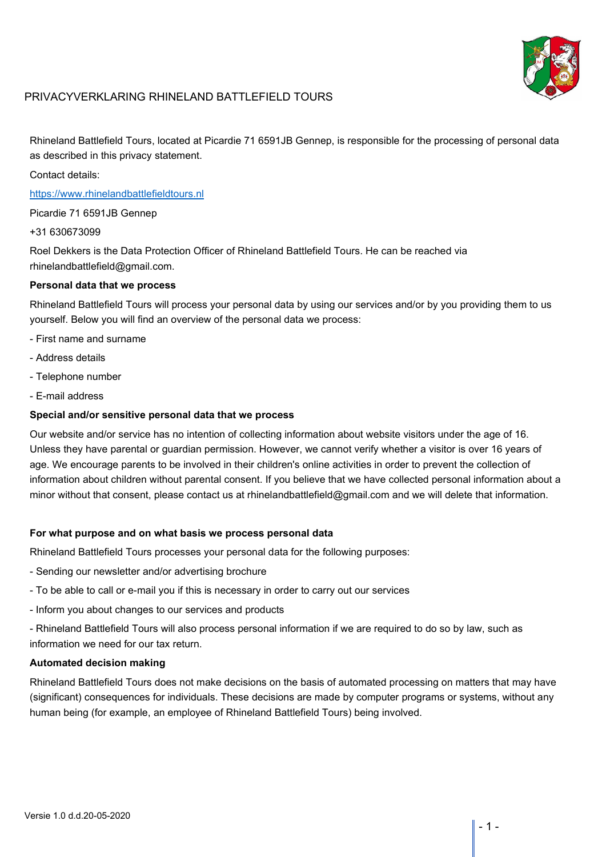

# PRIVACYVERKLARING RHINELAND BATTLEFIELD TOURS

Rhineland Battlefield Tours, located at Picardie 71 6591JB Gennep, is responsible for the processing of personal data as described in this privacy statement.

Contact details:

[https://www.rhinelandbattlefieldtours.nl](https://www.rhinelandbattlefieldtours.nl/)

Picardie 71 6591JB Gennep

+31 630673099

Roel Dekkers is the Data Protection Officer of Rhineland Battlefield Tours. He can be reached via rhinelandbattlefield@gmail.com.

### **Personal data that we process**

Rhineland Battlefield Tours will process your personal data by using our services and/or by you providing them to us yourself. Below you will find an overview of the personal data we process:

- First name and surname
- Address details
- Telephone number
- E-mail address

#### **Special and/or sensitive personal data that we process**

Our website and/or service has no intention of collecting information about website visitors under the age of 16. Unless they have parental or guardian permission. However, we cannot verify whether a visitor is over 16 years of age. We encourage parents to be involved in their children's online activities in order to prevent the collection of information about children without parental consent. If you believe that we have collected personal information about a minor without that consent, please contact us at rhinelandbattlefield@gmail.com and we will delete that information.

### **For what purpose and on what basis we process personal data**

Rhineland Battlefield Tours processes your personal data for the following purposes:

- Sending our newsletter and/or advertising brochure
- To be able to call or e-mail you if this is necessary in order to carry out our services
- Inform you about changes to our services and products

- Rhineland Battlefield Tours will also process personal information if we are required to do so by law, such as information we need for our tax return.

## **Automated decision making**

Rhineland Battlefield Tours does not make decisions on the basis of automated processing on matters that may have (significant) consequences for individuals. These decisions are made by computer programs or systems, without any human being (for example, an employee of Rhineland Battlefield Tours) being involved.